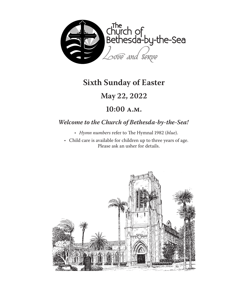

## **Sixth Sunday of Easter**

## **May 22, 2022**

## **10:00 a.m.**

## *Welcome to the Church of Bethesda-by-the-Sea!*

- *Hymn numbers* refer to The Hymnal 1982 (*blue*).
- Child care is available for children up to three years of age. Please ask an usher for details.

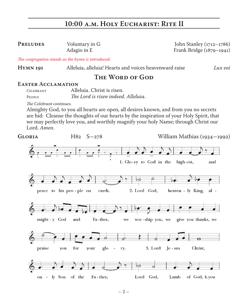## **10:00 a.m. Holy Eucharist: Rite II**

| <b>PRELUDES</b>                                                                                           | Voluntary in G<br>Adagio in E                                                                                                                                                                                                                                                                                                               | John Stanley (1712-1786)<br>Frank Bridge (1879-1941) |
|-----------------------------------------------------------------------------------------------------------|---------------------------------------------------------------------------------------------------------------------------------------------------------------------------------------------------------------------------------------------------------------------------------------------------------------------------------------------|------------------------------------------------------|
| The congregation stands as the hymn is introduced.                                                        |                                                                                                                                                                                                                                                                                                                                             |                                                      |
| <b>HYMN 191</b>                                                                                           | Alleluia, alleluia! Hearts and voices heavenward raise                                                                                                                                                                                                                                                                                      | Lux eoi                                              |
|                                                                                                           | <b>THE WORD OF GOD</b>                                                                                                                                                                                                                                                                                                                      |                                                      |
| <b>EASTER ACCLAMATION</b><br><b>CELEBRANT</b><br><b>PEOPLE</b><br>The Celebrant continues.<br>Lord. Amen. | Alleluia. Christ is risen.<br>The Lord is risen indeed. Alleluia.<br>Almighty God, to you all hearts are open, all desires known, and from you no secrets<br>are hid: Cleanse the thoughts of our hearts by the inspiration of your Holy Spirit, that<br>we may perfectly love you, and worthily magnify your holy Name; through Christ our |                                                      |
| <b>GLORIA</b>                                                                                             | $H82 S - 278$                                                                                                                                                                                                                                                                                                                               | William Mathias (1934–1992)                          |
|                                                                                                           | 1. Glo-ry to God in the                                                                                                                                                                                                                                                                                                                     | high-est,<br>and                                     |
| peace to his peo-ple on                                                                                   | 2. Lord God,<br>earth.                                                                                                                                                                                                                                                                                                                      | heaven - ly King,<br>al -                            |
| might - y God                                                                                             | Fa-ther,<br>wor-ship you, we<br>and<br>we                                                                                                                                                                                                                                                                                                   | give you thanks, we                                  |
| praise<br>you                                                                                             | for<br>3. Lord<br>glo<br>your<br>ry.                                                                                                                                                                                                                                                                                                        | $\bullet$<br>Christ,<br>$[e - sus]$                  |
| on - ly Son of the                                                                                        | Fa - ther,<br>Lord God,                                                                                                                                                                                                                                                                                                                     | Lamb<br>of God, 4.you                                |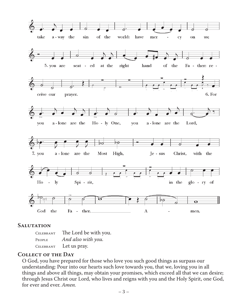

#### **SALUTATION**

| <b>CELEBRANT</b> | The Lord be with you. |
|------------------|-----------------------|
| PEOPLE           | And also with you.    |
| CELEBRANT        | Let us pray.          |

## **Collect of the Day**

O God, you have prepared for those who love you such good things as surpass our understanding: Pour into our hearts such love towards you, that we, loving you in all things and above all things, may obtain your promises, which exceed all that we can desire; through Jesus Christ our Lord, who lives and reigns with you and the Holy Spirit, one God, for ever and ever. *Amen.*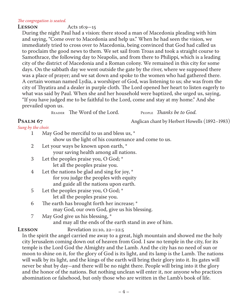#### *The congregation is seated.*

**Lesson** Acts 16:9-15

During the night Paul had a vision: there stood a man of Macedonia pleading with him and saying, "Come over to Macedonia and help us." When he had seen the vision, we immediately tried to cross over to Macedonia, being convinced that God had called us to proclaim the good news to them. We set sail from Troas and took a straight course to Samothrace, the following day to Neapolis, and from there to Philippi, which is a leading city of the district of Macedonia and a Roman colony. We remained in this city for some days. On the sabbath day we went outside the gate by the river, where we supposed there was a place of prayer; and we sat down and spoke to the women who had gathered there. A certain woman named Lydia, a worshiper of God, was listening to us; she was from the city of Thyatira and a dealer in purple cloth. The Lord opened her heart to listen eagerly to what was said by Paul. When she and her household were baptized, she urged us, saying, "If you have judged me to be faithful to the Lord, come and stay at my home." And she prevailed upon us.

Reader The Word of the Lord. People *Thanks be to God.* 

## **PSALM 67** Anglican chant by Herbert Howells (1892–1983)

*Sung by the choir.*

- 1 May God be merciful to us and bless us, \* show us the light of his countenance and come to us.
- 2 Let your ways be known upon earth, \* your saving health among all nations.
- 3 Let the peoples praise you, O God; \* let all the peoples praise you.
- 4 Let the nations be glad and sing for joy, \* for you judge the peoples with equity and guide all the nations upon earth.
- 5 Let the peoples praise you, O God; \* let all the peoples praise you.
- 6 The earth has brought forth her increase; \* may God, our own God, give us his blessing.
- 7 May God give us his blessing, \* and may all the ends of the earth stand in awe of him.

## **LESSON** Revelation 21:10, 22–22:5

In the spirit the angel carried me away to a great, high mountain and showed me the holy city Jerusalem coming down out of heaven from God. I saw no temple in the city, for its temple is the Lord God the Almighty and the Lamb. And the city has no need of sun or moon to shine on it, for the glory of God is its light, and its lamp is the Lamb. The nations will walk by its light, and the kings of the earth will bring their glory into it. Its gates will never be shut by day-and there will be no night there. People will bring into it the glory and the honor of the nations. But nothing unclean will enter it, nor anyone who practices abomination or falsehood, but only those who are written in the Lamb's book of life.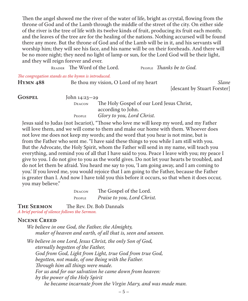Then the angel showed me the river of the water of life, bright as crystal, flowing from the throne of God and of the Lamb through the middle of the street of the city. On either side of the river is the tree of life with its twelve kinds of fruit, producing its fruit each month; and the leaves of the tree are for the healing of the nations. Nothing accursed will be found there any more. But the throne of God and of the Lamb will be in it, and his servants will worship him; they will see his face, and his name will be on their foreheads. And there will be no more night; they need no light of lamp or sun, for the Lord God will be their light, and they will reign forever and ever.

|                                                    | READER The Word of the Lord.          | PEOPLE Thanks be to God. |       |
|----------------------------------------------------|---------------------------------------|--------------------------|-------|
| The congregation stands as the hymn is introduced. |                                       |                          |       |
| <b>Hymn 488</b>                                    | Be thou my vision, O Lord of my heart |                          | Slane |

[descant by Stuart Forster]

**Gospel** John 14:23-29 Deacon The Holy Gospel of our Lord Jesus Christ,

according to John.

People *Glory to you, Lord Christ.*

Jesus said to Judas (not Iscariot), "Those who love me will keep my word, and my Father will love them, and we will come to them and make our home with them. Whoever does not love me does not keep my words; and the word that you hear is not mine, but is from the Father who sent me. "I have said these things to you while I am still with you. But the Advocate, the Holy Spirit, whom the Father will send in my name, will teach you everything, and remind you of all that I have said to you. Peace I leave with you; my peace I give to you. I do not give to you as the world gives. Do not let your hearts be troubled, and do not let them be afraid. You heard me say to you, 'I am going away, and I am coming to you.' If you loved me, you would rejoice that I am going to the Father, because the Father is greater than I. And now I have told you this before it occurs, so that when it does occur, you may believe."

> Deacon The Gospel of the Lord. People *Praise to you, Lord Christ.*

**The Sermon** The Rev. Dr. Bob Dannals *A brief period of silence follows the Sermon.*

## **Nicene Creed**

*We believe in one God, the Father, the Almighty, maker of heaven and earth, of all that is, seen and unseen.*

*We believe in one Lord, Jesus Christ, the only Son of God, eternally begotten of the Father, God from God, Light from Light, true God from true God, begotten, not made, of one Being with the Father. Through him all things were made. For us and for our salvation he came down from heaven: by the power of the Holy Spirit he became incarnate from the Virgin Mary, and was made man.*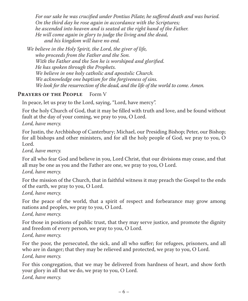*For our sake he was crucified under Pontius Pilate; he suffered death and was buried. On the third day he rose again in accordance with the Scriptures; he ascended into heaven and is seated at the right hand of the Father. He will come again in glory to judge the living and the dead, and his kingdom will have no end.*

*We believe in the Holy Spirit, the Lord, the giver of life, who proceeds from the Father and the Son. With the Father and the Son he is worshiped and glorified. He has spoken through the Prophets. We believe in one holy catholic and apostolic Church. We acknowledge one baptism for the forgiveness of sins. We look for the resurrection of the dead, and the life of the world to come. Amen.*

## **Prayers of the People** Form V

In peace, let us pray to the Lord, saying, "Lord, have mercy".

For the holy Church of God, that it may be filled with truth and love, and be found without fault at the day of your coming, we pray to you, O Lord.

*Lord, have mercy.*

For Justin, the Archbishop of Canterbury; Michael, our Presiding Bishop; Peter, our Bishop; for all bishops and other ministers, and for all the holy people of God, we pray to you, O Lord.

*Lord, have mercy.*

For all who fear God and believe in you, Lord Christ, that our divisions may cease, and that all may be one as you and the Father are one, we pray to you, O Lord.

*Lord, have mercy.*

For the mission of the Church, that in faithful witness it may preach the Gospel to the ends of the earth, we pray to you, O Lord.

*Lord, have mercy.*

For the peace of the world, that a spirit of respect and forbearance may grow among nations and peoples, we pray to you, O Lord.

*Lord, have mercy.*

For those in positions of public trust, that they may serve justice, and promote the dignity and freedom of every person, we pray to you, O Lord. *Lord, have mercy.*

For the poor, the persecuted, the sick, and all who suffer; for refugees, prisoners, and all who are in danger; that they may be relieved and protected, we pray to you, O Lord. *Lord, have mercy.*

For this congregation, that we may be delivered from hardness of heart, and show forth your glory in all that we do, we pray to you, O Lord. *Lord, have mercy.*

– 6 –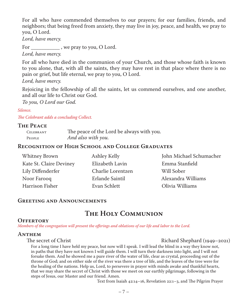For all who have commended themselves to our prayers; for our families, friends, and neighbors; that being freed from anxiety, they may live in joy, peace, and health, we pray to you, O Lord.

*Lord, have mercy.*

For \_\_\_\_\_\_\_\_\_\_\_\_, we pray to you, O Lord.

*Lord, have mercy.*

For all who have died in the communion of your Church, and those whose faith is known to you alone, that, with all the saints, they may have rest in that place where there is no pain or grief, but life eternal, we pray to you, O Lord. *Lord, have mercy.*

Rejoicing in the fellowship of all the saints, let us commend ourselves, and one another, and all our life to Christ our God.

*To you, O Lord our God.*

### *Silence.*

*The Celebrant adds a concluding Collect.*

## **The Peace**

| CELEBRANT | The peace of the Lord be always with you. |
|-----------|-------------------------------------------|
| PEOPLE    | And also with you.                        |

## **Recognition of High School and College Graduates**

| <b>Whitney Brown</b>    | Ashley Kelly      | John Michael Schumacher |
|-------------------------|-------------------|-------------------------|
| Kate St. Claire Deviney | Elizabeth Lavin   | Emma Stanfield          |
| Lily Diffenderfer       | Charlie Lorentzen | Will Sober              |
| Noor Farooq             | Erlande Saintil   | Alexandra Williams      |
| Harrison Fisher         | Evan Schlett      | Olivia Williams         |

## **Greeting and Announcements**

## **The Holy Communion**

## **Offertory**

*Members of the congregation will present the offerings and oblations of our life and labor to the Lord.*

# **ANTHEM**<br>The secret of Christ

## Richard Shephard  $(1949-2021)$

For a long time I have held my peace, but now will I speak. I will lead the blind in a way they know not, in paths that they have not known I will guide them. I will turn their darkness into light, and I will not forsake them. And he showed me a pure river of the water of life, clear as crystal, proceeding out of the throne of God; and on either side of the river was there a tree of life, and the leaves of the tree were for the healing of the nations. Help us, Lord, to persevere in prayer with minds awake and thankful hearts, that we may share the secret of Christ with those we meet on our earthly pilgrimage, following in the steps of Jesus, our Master and our friend. Amen.

Text from Isaiah 42:14–16, Revelation 22:1–3, and The Pilgrim Prayer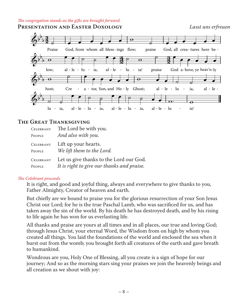The congregation stands as the gifts are brought forward.

**Presentation and Easter Doxology** *Lasst uns erfreuen*



## **The Great Thanksgiving**

| <b>CELEBRANT</b>           | The Lord be with you.                                                                 |
|----------------------------|---------------------------------------------------------------------------------------|
| PEOPLE                     | And also with you.                                                                    |
| CELEBRANT<br>PEOPLE        | Lift up your hearts.<br>We lift them to the Lord.                                     |
| <b>CELEBRANT</b><br>PEOPLE | Let us give thanks to the Lord our God.<br>It is right to give our thanks and praise. |
|                            |                                                                                       |

#### *The Celebrant proceeds*

It is right, and good and joyful thing, always and everywhere to give thanks to you, Father Almighty, Creator of heaven and earth.

But chiefly are we bound to praise you for the glorious resurrection of your Son Jesus Christ our Lord; for he is the true Paschal Lamb, who was sacrificed for us, and has taken away the sin of the world. By his death he has destroyed death, and by his rising to life again he has won for us everlasting life.

All thanks and praise are yours at all times and in all places, our true and loving God; through Jesus Christ, your eternal Word, the Wisdom from on high by whom you created all things. You laid the foundations of the world and enclosed the sea when it burst out from the womb; you brought forth all creatures of the earth and gave breath to humankind.

Wondrous are you, Holy One of Blessing, all you create is a sign of hope for our journey; And so as the morning stars sing your praises we join the heavenly beings and all creation as we shout with joy: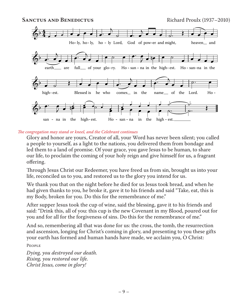

*The congregation may stand or kneel, and the Celebrant continues*

Glory and honor are yours, Creator of all, your Word has never been silent; you called a people to yourself, as a light to the nations, you delivered them from bondage and led them to a land of promise. Of your grace, you gave Jesus to be human, to share our life, to proclaim the coming of your holy reign and give himself for us, a fragrant offering.

Through Jesus Christ our Redeemer, you have freed us from sin, brought us into your life, reconciled us to you, and restored us to the glory you intend for us.

We thank you that on the night before he died for us Jesus took bread, and when he had given thanks to you, he broke it, gave it to his friends and said "Take, eat, this is my Body, broken for you. Do this for the remembrance of me."

After supper Jesus took the cup of wine, said the blessing, gave it to his friends and said: "Drink this, all of you: this cup is the new Covenant in my Blood, poured out for you and for all for the forgiveness of sins. Do this for the remembrance of me."

And so, remembering all that was done for us: the cross, the tomb, the resurrection and ascension, longing for Christ's coming in glory, and presenting to you these gifts your earth has formed and human hands have made, we acclaim you, O Christ:

People

*Dying, you destroyed our death. Rising, you restored our life. Christ Jesus, come in glory!*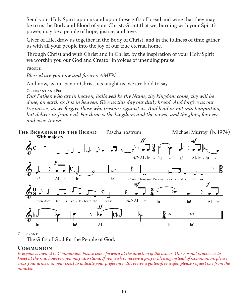Send your Holy Spirit upon us and upon these gifts of bread and wine that they may be to us the Body and Blood of your Christ. Grant that we, burning with your Spirit's power, may be a people of hope, justice, and love.

Giver of Life, draw us together in the Body of Christ, and in the fullness of time gather us with all your people into the joy of our true eternal home.

Through Christ and with Christ and in Christ, by the inspiration of your Holy Spirit, we worship you our God and Creator in voices of unending praise.

People

*Blessed are you now and forever. AMEN.*

And now, as our Savior Christ has taught us, we are bold to say,

CELEBRANT AND PEOPLE

And now, as our savior Christ has taught us, we are bold to say,<br><sub>Сецевкант анр Реорце</sub><br>Our Father, who art in heaven, hallowed be thy Name, thy kingdom come, thy will be *done, on earth as it is in heaven. Give us this day our daily bread. And forgive us our trespasses, as we forgive those who trespass against us. And lead us not into temptation,*  Michael Murray (b. 1974) Michael Murray (b. 1974) but deliver us from evil. For thine is the kingdom, and the power, and the glory, for ever *and ever. Amen.*



**CELEBRANT** 

The Gifts of God for the People of God.

## **Communion**

*Everyone is invited to Communion. Please come forward at the direction of the ushers. Our normal practice is to kneel at the rail, however, you may also stand. If you wish to receive a prayer blessing instead of Communion, please cross your arms over your chest to indicate your preference. To receive a gluten-free wafer, please request one from the minister.*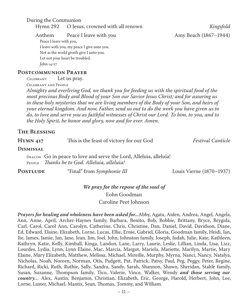During the Communion O Jesus, crowned with all renown *Kingsfold* 

Anthem Peace I leave with you and Amy Beach (1867–1944)

Peace I leave with you, I leave with you, my peace I give unto you. Not as the world giveth give I unto you. Let not your heart be troubled. John 14:27

### **Postcommunion Prayer**

Celebrant Let us pray.

Celebrant and People

*Almighty and everliving God, we thank you for feeding us with the spiritual food of the most precious Body and Blood of your Son our Savior Jesus Christ; and for assuring us in these holy mysteries that we are living members of the Body of your Son, and heirs of your eternal kingdom. And now, Father, send us out to do the work you have given us to do, to love and serve you as faithful witnesses of Christ our Lord. To him, to you, and to the Holy Spirit, be honor and glory, now and for ever. Amen.*

## **The Blessing**

| <b>HYMN</b> 417 | This is the feast of victory for our God                                                                    | <i>Festival Canticle</i> |
|-----------------|-------------------------------------------------------------------------------------------------------------|--------------------------|
| DISMISSAL       |                                                                                                             |                          |
| PEOPLE          | DEACON Go in peace to love and serve the Lord, Alleluia, alleluia!<br>Thanks be to God. Alleluia, alleluia! |                          |
| <b>POSTLUDE</b> | "Final" from Symphonie III                                                                                  | Louis Vierne (1870–1937) |
|                 | We pray for the repose of the soul of                                                                       |                          |

## *We pray for the repose of the soul of* Eohn Goodman Caroline Peet Johnson

*Prayers for healing and wholeness have been asked for...*Abby, Agata, Aiden, Andrea, Angel, Angela, Ann, Anne, April, Archer-Haynes family, Barbara, Benito, Bob, Bobbie, Brittany, Bryce, Brygida, Carl, Carol, Carol Ann, Carolyn, Catherine, Chris, Christine, Dan, Daniel, David, Davidson, Diane, Ed, Edward, Elaine, Elizabeth, Lorne, Lucas, Ellie, Ernie, Gabriel, Gloria, Goodman family, Heidi, Ian, Ite, James, Jamie, Jan, Jane, Jean, Jim, Joel, John, Johnston family, Joseph, Judah, Julie, Kate, Kathleen, Kathryn, Katie, Kelly, Kimball, Kinga, Landon, Lane, Larry, Laurie, Leslie, Lillian, Linda, Lisa, Lizz, Lourdes, Lydia, Lynn, Lynn Elaine, Mac, Marcia, Margot, Mariela, Mariette, Marilyn, Martie, Mary Elaine, Mary Elizabeth, Matthew, Melissa, Michael, Mireille, Murphy, Myrna, Nanci, Nancy, Natalya, Nicholas, Noah, Noreen, Norman, Otis, Padgett, Pat, Patrick, Patsy, Paul, Peg, Peggy, Peter, Regine, Richard, Ricki, Ruth, Ruthie, Sally, Sandra, Sandy, Sarah, Shannon, Shawn, Sheridan, Stahle family, Susan, Suzanne, Thompson family, Tico, Valerie, Vince, Walker, Wendy *and those serving our country…* Alex, Austin, Benjamin, Christian, Elizabeth, Eric, George, Harold, Herbert, John, Lee, Lorne, Luster, Michael, Mantis, Sean, Thomas, Tommy, and William.